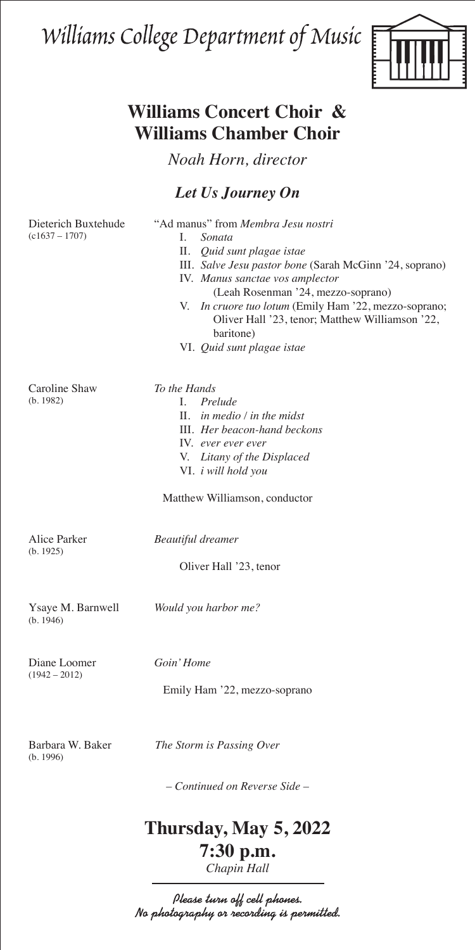Williams College Department of Music



## **Williams Concert Choir & Williams Chamber Choir**

*Noah Horn, director*

## *Let Us Journey On*

Dieterich Buxtehude "Ad manus" from *Membra Jesu nostri* (c1637 – 1707) I. *Sonata* II. *Quid sunt plagae istae* III. *Salve Jesu pastor bone* (Sarah McGinn '24, soprano) IV. *Manus sanctae vos amplector* (Leah Rosenman '24, mezzo-soprano) V. *In cruore tuo lotum* (Emily Ham '22, mezzo-soprano; Oliver Hall '23, tenor; Matthew Williamson '22, baritone) VI. *Quid sunt plagae istae* Caroline Shaw *To the Hands* (b. 1982) I. *Prelude* II. *in medio / in the midst* III. *Her beacon-hand beckons* IV. *ever ever ever* V. *Litany of the Displaced* VI. *i will hold you* Matthew Williamson, conductor Alice Parker *Beautiful dreamer* (b. 1925) Oliver Hall '23, tenor Ysaye M. Barnwell *Would you harbor me?* (b. 1946) Diane Loomer *Goin' Home*  $(1942 - 2012)$ Emily Ham '22, mezzo-soprano

(b. 1996)

Barbara W. Baker *The Storm is Passing Over*

*– Continued on Reverse Side –*

# **Thursday, May 5, 2022**

### **7:30 p.m.** *Chapin Hall*

Please turn off cell phones. No photography or recording is permitted.